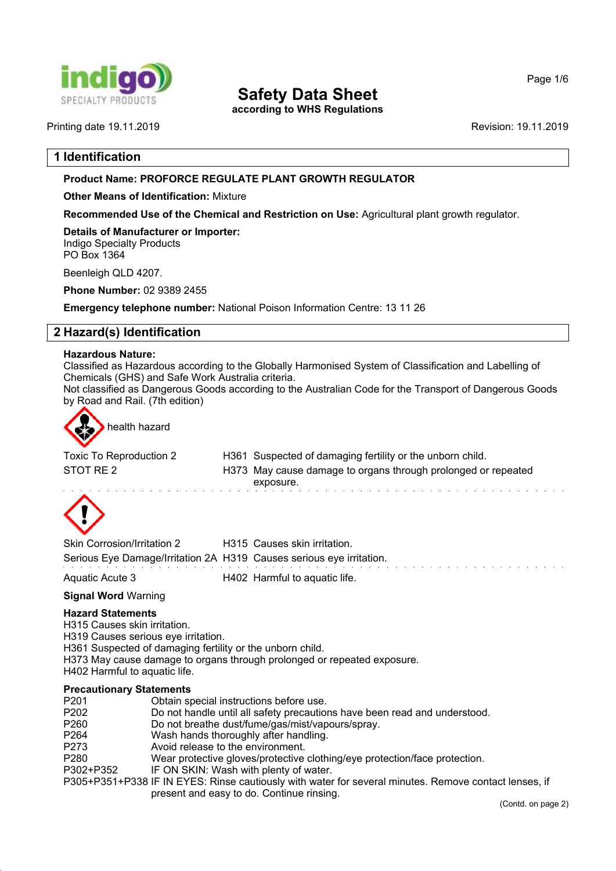

# **Safety Data Sheet**

**according to WHS Regulations**

Page 1/6

Printing date 19.11.2019 Revision: 19.11.2019

# **1 Identification**

# **Product Name: PROFORCE REGULATE PLANT GROWTH REGULATOR**

**Other Means of Identification:** Mixture

**Recommended Use of the Chemical and Restriction on Use:** Agricultural plant growth regulator.

**Details of Manufacturer or Importer:** Indigo Specialty Products PO Box 1364

Beenleigh QLD 4207.

**Phone Number:** 02 9389 2455

**Emergency telephone number:** National Poison Information Centre: 13 11 26

# **2 Hazard(s) Identification**

#### **Hazardous Nature:**

Classified as Hazardous according to the Globally Harmonised System of Classification and Labelling of Chemicals (GHS) and Safe Work Australia criteria.

Not classified as Dangerous Goods according to the Australian Code for the Transport of Dangerous Goods by Road and Rail. (7th edition)



health hazard

| Toxic To Reproduction 2 | H361 Suspected of damaging fertility or the unborn child.     |
|-------------------------|---------------------------------------------------------------|
| STOT RE 2               | H373 May cause damage to organs through prolonged or repeated |
|                         | exposure.                                                     |
|                         |                                                               |



| Skin Corrosion/Irritation 2                                          | H315 Causes skin irritation.  |
|----------------------------------------------------------------------|-------------------------------|
| Serious Eye Damage/Irritation 2A H319 Causes serious eye irritation. |                               |
| Aquatic Acute 3                                                      | H402 Harmful to aquatic life. |

#### **Signal Word** Warning

## **Hazard Statements**

H315 Causes skin irritation.

H319 Causes serious eye irritation.

H361 Suspected of damaging fertility or the unborn child.

H373 May cause damage to organs through prolonged or repeated exposure.

H402 Harmful to aquatic life.

#### **Precautionary Statements**

| P201             | Obtain special instructions before use.                                                               |
|------------------|-------------------------------------------------------------------------------------------------------|
| P202             | Do not handle until all safety precautions have been read and understood.                             |
| P260             | Do not breathe dust/fume/gas/mist/vapours/spray.                                                      |
| P <sub>264</sub> | Wash hands thoroughly after handling.                                                                 |
| P273             | Avoid release to the environment.                                                                     |
| P280             | Wear protective gloves/protective clothing/eye protection/face protection.                            |
| P302+P352        | IF ON SKIN: Wash with plenty of water.                                                                |
|                  | P305+P351+P338 IF IN EYES: Rinse cautiously with water for several minutes. Remove contact lenses, if |
|                  | present and easy to do. Continue rinsing.                                                             |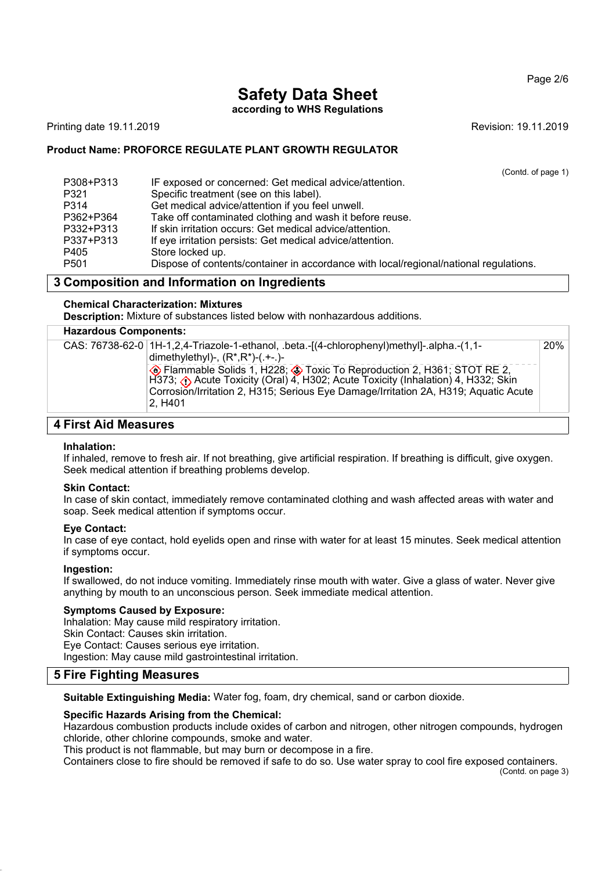Page 2/6

# **Safety Data Sheet**

**according to WHS Regulations**

Printing date 19.11.2019 **Revision: 19.11.2019** Revision: 19.11.2019

### **Product Name: PROFORCE REGULATE PLANT GROWTH REGULATOR**

(Contd. of page 1)

| P308+P313        | IF exposed or concerned: Get medical advice/attention.                                |
|------------------|---------------------------------------------------------------------------------------|
| P321             | Specific treatment (see on this label).                                               |
| P314             | Get medical advice/attention if you feel unwell.                                      |
| P362+P364        | Take off contaminated clothing and wash it before reuse.                              |
| P332+P313        | If skin irritation occurs: Get medical advice/attention.                              |
| P337+P313        | If eye irritation persists: Get medical advice/attention.                             |
| P405             | Store locked up.                                                                      |
| P <sub>501</sub> | Dispose of contents/container in accordance with local/regional/national regulations. |

# **3 Composition and Information on Ingredients**

#### **Chemical Characterization: Mixtures**

**Description:** Mixture of substances listed below with nonhazardous additions.

### **Hazardous Components:**

| CAS: 76738-62-0   1H-1,2,4-Triazole-1-ethanol, .beta.-[(4-chlorophenyl)methyl]-.alpha.-(1,1-<br>dimethylethyl)-, $(R^*, R^*)$ - $( . +-. )$ -                                                                                                                             | <b>20%</b> |
|---------------------------------------------------------------------------------------------------------------------------------------------------------------------------------------------------------------------------------------------------------------------------|------------|
| Flammable Solids 1, H228; > Toxic To Reproduction 2, H361; STOT RE 2,<br>H373; (c) Acute Toxicity (Oral) 4, H302; Acute Toxicity (Inhalation) 4, H332; Skin<br>Corrosion/Irritation 2, H315; Serious Eye Damage/Irritation 2A, H319; Aquatic Acute<br>2. H <sub>401</sub> |            |
|                                                                                                                                                                                                                                                                           |            |

# **4 First Aid Measures**

#### **Inhalation:**

If inhaled, remove to fresh air. If not breathing, give artificial respiration. If breathing is difficult, give oxygen. Seek medical attention if breathing problems develop.

#### **Skin Contact:**

In case of skin contact, immediately remove contaminated clothing and wash affected areas with water and soap. Seek medical attention if symptoms occur.

#### **Eye Contact:**

In case of eye contact, hold eyelids open and rinse with water for at least 15 minutes. Seek medical attention if symptoms occur.

#### **Ingestion:**

If swallowed, do not induce vomiting. Immediately rinse mouth with water. Give a glass of water. Never give anything by mouth to an unconscious person. Seek immediate medical attention.

#### **Symptoms Caused by Exposure:**

Inhalation: May cause mild respiratory irritation. Skin Contact: Causes skin irritation. Eye Contact: Causes serious eye irritation. Ingestion: May cause mild gastrointestinal irritation.

# **5 Fire Fighting Measures**

**Suitable Extinguishing Media:** Water fog, foam, dry chemical, sand or carbon dioxide.

#### **Specific Hazards Arising from the Chemical:**

Hazardous combustion products include oxides of carbon and nitrogen, other nitrogen compounds, hydrogen chloride, other chlorine compounds, smoke and water.

This product is not flammable, but may burn or decompose in a fire.

Containers close to fire should be removed if safe to do so. Use water spray to cool fire exposed containers.

(Contd. on page 3)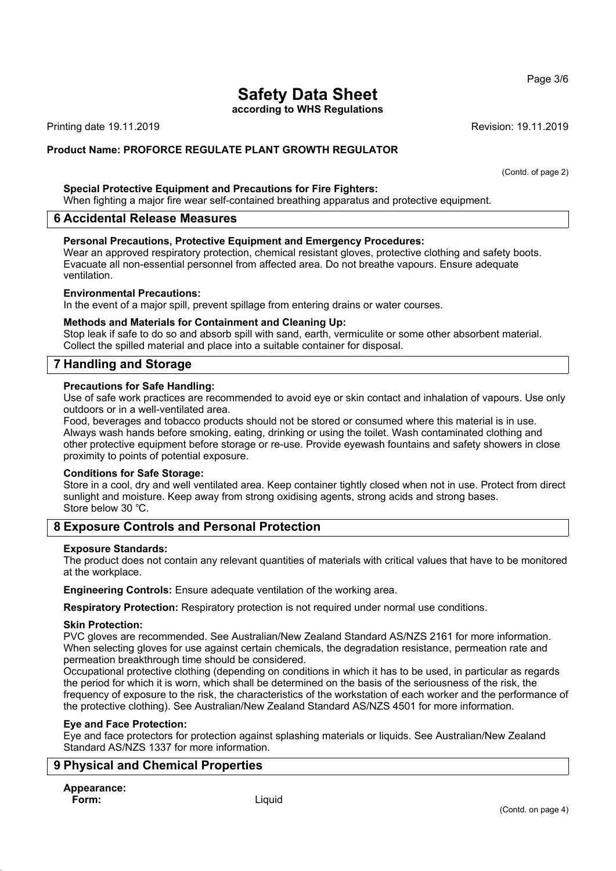#### Page 3/6

# **Safety Data Sheet**

**according to WHS Regulations**

Printing date 19.11.2019 **Revision: 19.11.2019** Revision: 19.11.2019

**Product Name: PROFORCE REGULATE PLANT GROWTH REGULATOR**

(Contd. of page 2)

#### **Special Protective Equipment and Precautions for Fire Fighters:**

When fighting a major fire wear self-contained breathing apparatus and protective equipment.

#### **6 Accidental Release Measures**

#### **Personal Precautions, Protective Equipment and Emergency Procedures:**

Wear an approved respiratory protection, chemical resistant gloves, protective clothing and safety boots. Evacuate all non-essential personnel from affected area. Do not breathe vapours. Ensure adequate ventilation.

#### **Environmental Precautions:**

In the event of a major spill, prevent spillage from entering drains or water courses.

#### **Methods and Materials for Containment and Cleaning Up:**

Stop leak if safe to do so and absorb spill with sand, earth, vermiculite or some other absorbent material. Collect the spilled material and place into a suitable container for disposal.

## **7 Handling and Storage**

#### **Precautions for Safe Handling:**

Use of safe work practices are recommended to avoid eye or skin contact and inhalation of vapours. Use only outdoors or in a well-ventilated area.

Food, beverages and tobacco products should not be stored or consumed where this material is in use. Always wash hands before smoking, eating, drinking or using the toilet. Wash contaminated clothing and other protective equipment before storage or re-use. Provide eyewash fountains and safety showers in close proximity to points of potential exposure.

#### **Conditions for Safe Storage:**

Store in a cool, dry and well ventilated area. Keep container tightly closed when not in use. Protect from direct sunlight and moisture. Keep away from strong oxidising agents, strong acids and strong bases. Store below 30 ℃.

## **8 Exposure Controls and Personal Protection**

#### **Exposure Standards:**

The product does not contain any relevant quantities of materials with critical values that have to be monitored at the workplace.

**Engineering Controls:** Ensure adequate ventilation of the working area.

**Respiratory Protection:** Respiratory protection is not required under normal use conditions.

#### **Skin Protection:**

PVC gloves are recommended. See Australian/New Zealand Standard AS/NZS 2161 for more information. When selecting gloves for use against certain chemicals, the degradation resistance, permeation rate and permeation breakthrough time should be considered.

Occupational protective clothing (depending on conditions in which it has to be used, in particular as regards the period for which it is worn, which shall be determined on the basis of the seriousness of the risk, the frequency of exposure to the risk, the characteristics of the workstation of each worker and the performance of the protective clothing). See Australian/New Zealand Standard AS/NZS 4501 for more information.

#### **Eye and Face Protection:**

Eye and face protectors for protection against splashing materials or liquids. See Australian/New Zealand Standard AS/NZS 1337 for more information.

## **9 Physical and Chemical Properties**

# **Appearance:**

**Form:** Liquid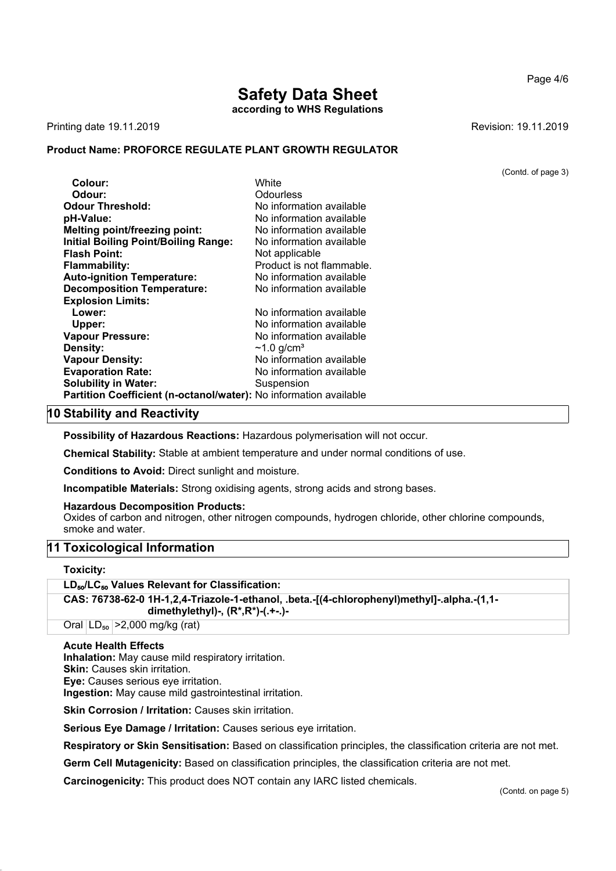**according to WHS Regulations**

Printing date 19.11.2019 **Revision: 19.11.2019** Revision: 19.11.2019

# **Product Name: PROFORCE REGULATE PLANT GROWTH REGULATOR**

|                                                                   |                              | (Contd. of page 3) |
|-------------------------------------------------------------------|------------------------------|--------------------|
| Colour:                                                           | White                        |                    |
| Odour:                                                            | <b>Odourless</b>             |                    |
| <b>Odour Threshold:</b>                                           | No information available     |                    |
| pH-Value:                                                         | No information available     |                    |
| Melting point/freezing point:                                     | No information available     |                    |
| <b>Initial Boiling Point/Boiling Range:</b>                       | No information available     |                    |
| <b>Flash Point:</b>                                               | Not applicable               |                    |
| <b>Flammability:</b>                                              | Product is not flammable.    |                    |
| <b>Auto-ignition Temperature:</b>                                 | No information available     |                    |
| <b>Decomposition Temperature:</b>                                 | No information available     |                    |
| <b>Explosion Limits:</b>                                          |                              |                    |
| Lower:                                                            | No information available     |                    |
| Upper:                                                            | No information available     |                    |
| <b>Vapour Pressure:</b>                                           | No information available     |                    |
| <b>Density:</b>                                                   | $\sim$ 1.0 g/cm <sup>3</sup> |                    |
| <b>Vapour Density:</b>                                            | No information available     |                    |
| <b>Evaporation Rate:</b>                                          | No information available     |                    |
| <b>Solubility in Water:</b>                                       | Suspension                   |                    |
| Partition Coefficient (n-octanol/water): No information available |                              |                    |

# **10 Stability and Reactivity**

**Possibility of Hazardous Reactions:** Hazardous polymerisation will not occur.

**Chemical Stability:** Stable at ambient temperature and under normal conditions of use.

**Conditions to Avoid:** Direct sunlight and moisture.

**Incompatible Materials:** Strong oxidising agents, strong acids and strong bases.

**Hazardous Decomposition Products:**

Oxides of carbon and nitrogen, other nitrogen compounds, hydrogen chloride, other chlorine compounds, smoke and water.

## **11 Toxicological Information**

**Toxicity:**

**LD**₅₀**/LC**₅₀ **Values Relevant for Classification:**

**CAS: 76738-62-0 1H-1,2,4-Triazole-1-ethanol, .beta.-[(4-chlorophenyl)methyl]-.alpha.-(1,1 dimethylethyl)-, (R\*,R\*)-(.+-.)-**

Oral  $|LD_{50}| > 2,000$  mg/kg (rat)

#### **Acute Health Effects**

**Inhalation:** May cause mild respiratory irritation.

**Skin:** Causes skin irritation.

**Eye:** Causes serious eye irritation.

**Ingestion:** May cause mild gastrointestinal irritation.

**Skin Corrosion / Irritation:** Causes skin irritation.

**Serious Eye Damage / Irritation:** Causes serious eye irritation.

**Respiratory or Skin Sensitisation:** Based on classification principles, the classification criteria are not met.

**Germ Cell Mutagenicity:** Based on classification principles, the classification criteria are not met.

**Carcinogenicity:** This product does NOT contain any IARC listed chemicals.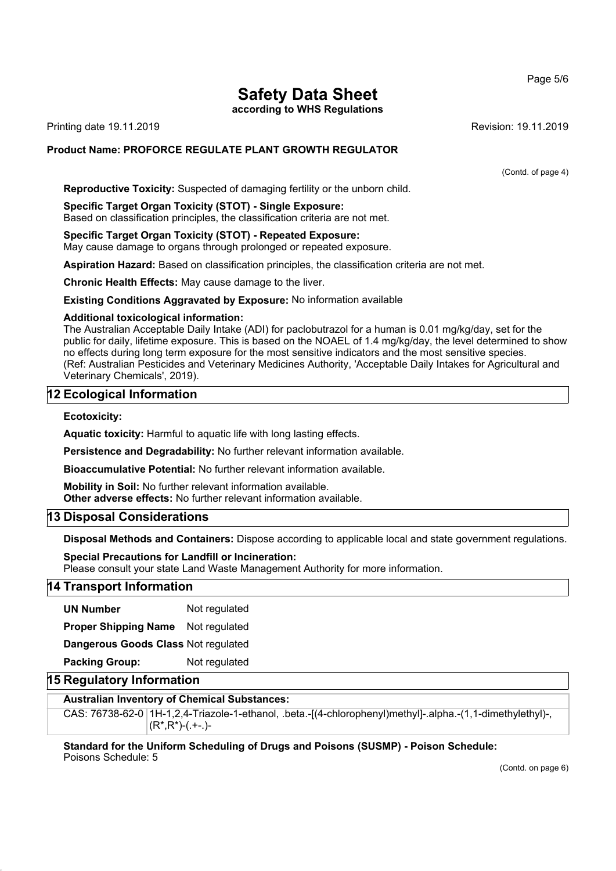# **Safety Data Sheet**

**according to WHS Regulations**

Printing date 19.11.2019 **Revision: 19.11.2019** Revision: 19.11.2019

## **Product Name: PROFORCE REGULATE PLANT GROWTH REGULATOR**

(Contd. of page 4)

**Reproductive Toxicity:** Suspected of damaging fertility or the unborn child.

**Specific Target Organ Toxicity (STOT) - Single Exposure:** Based on classification principles, the classification criteria are not met.

**Specific Target Organ Toxicity (STOT) - Repeated Exposure:** May cause damage to organs through prolonged or repeated exposure.

**Aspiration Hazard:** Based on classification principles, the classification criteria are not met.

**Chronic Health Effects:** May cause damage to the liver.

**Existing Conditions Aggravated by Exposure:** No information available

#### **Additional toxicological information:**

The Australian Acceptable Daily Intake (ADI) for paclobutrazol for a human is 0.01 mg/kg/day, set for the public for daily, lifetime exposure. This is based on the NOAEL of 1.4 mg/kg/day, the level determined to show no effects during long term exposure for the most sensitive indicators and the most sensitive species. (Ref: Australian Pesticides and Veterinary Medicines Authority, 'Acceptable Daily Intakes for Agricultural and Veterinary Chemicals', 2019).

# **12 Ecological Information**

#### **Ecotoxicity:**

**Aquatic toxicity:** Harmful to aquatic life with long lasting effects.

**Persistence and Degradability:** No further relevant information available.

**Bioaccumulative Potential:** No further relevant information available.

**Mobility in Soil:** No further relevant information available. **Other adverse effects:** No further relevant information available.

## **13 Disposal Considerations**

**Disposal Methods and Containers:** Dispose according to applicable local and state government regulations.

**Special Precautions for Landfill or Incineration:** Please consult your state Land Waste Management Authority for more information.

## **14 Transport Information**

**UN Number** Not regulated

**Proper Shipping Name** Not regulated

**Dangerous Goods Class** Not regulated

**Packing Group:** Not regulated

## **15 Regulatory Information**

#### **Australian Inventory of Chemical Substances:**

CAS: 76738-62-0 1H-1,2,4-Triazole-1-ethanol, .beta.-[(4-chlorophenyl)methyl]-.alpha.-(1,1-dimethylethyl)-,  $(R^*, R^*)$ - $(+$ -.)-

**Standard for the Uniform Scheduling of Drugs and Poisons (SUSMP) - Poison Schedule:** Poisons Schedule: 5

(Contd. on page 6)